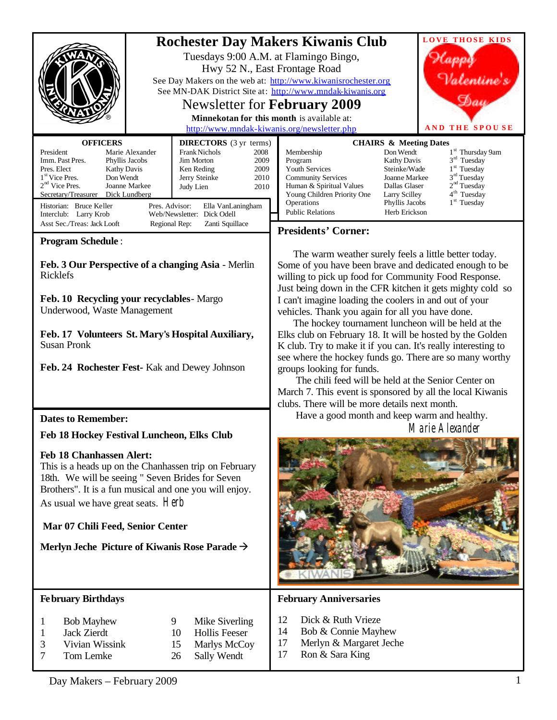**LOVE THOSE KIDS Rochester Day Makers Kiwanis Club**  Tuesdays 9:00 A.M. at Flamingo Bingo, lanna Hwy 52 N., East Frontage Road Valentine's See Day Makers on the web at: <http://www.kiwanisrochester.org> See MN-DAK District Site at: <http://www.mndak-kiwanis.org>  $\mathfrak{H}_{aa}$ Newsletter for **February 2009 Minnekotan for this month** is available at: <http://www.mndak-kiwanis.org/newsletter.php> **AND THE SPOUSE OFFICERS DIRECTORS** (3 yr terms) **CHAIRS & Meeting Dates**  $1^{\rm \scriptscriptstyle{st}}$  Thursday 9am President Marie Alexander<br>
Imm. Past Pres. Phyllis Jacobs Frank Nichols 2008<br>
Jim Morton 2009 Membership<br>Program  $3<sup>rd</sup>$  Tuesday Imm. Past Pres. Jim Morton 2009<br>Ken Reding 2009 Kathy Davis<br>Steinke/Wade 1<sup>st</sup> Tuesday Pres. Elect Kathy Davis Ken Reding 2009<br>Jerry Steinke 2010 Youth Services Steinke/Wade<br>
Community Services Joanne Markee  $3<sup>nd</sup> Tuesday$ Don Wendt **Community Services** Joanne Markee<br>
Human & Spiritual Values Dallas Glaser  $1<sup>st</sup>$  Vice Pres. Jerry Steinke  $2<sup>nd</sup> Tuesday$ 2<sup>nd</sup> Vice Pres. Joanne Markee Human & Spiritual Values Dallas Glaser<br>
Young Children Priority One Larry Scilley Judy Lien 2010  $4^{\mathrm{th}}$  Tuesday Secretary/Treasurer Dick Lundberg Young Children Priority One<br>Operations  $1^{\rm \scriptscriptstyle{st}}$  Tuesday Phyllis Jacobs Historian: Bruce Keller Pres. Advisor: Ella VanLaningham<br>
Interclub: Larry Krob Web/Newsletter: Dick Odell Public Relations **Herb Erickson** Web/Newsletter: Dick Odell Asst Sec./Treas: Jack Looft Regional Rep: Zanti Squillace **Presidents' Corner: Program Schedule** : The warm weather surely feels a little better today. **Feb. 3 Our Perspective of a changing Asia** - Merlin Some of you have been brave and dedicated enough to be Ricklefs willing to pick up food for Community Food Response. Just being down in the CFR kitchen it gets mighty cold so **Feb. 10 Recycling your recyclables**- Margo I can't imagine loading the coolers in and out of your Underwood, Waste Management vehicles. Thank you again for all you have done. The hockey tournament luncheon will be held at the **Feb. 17 Volunteers St. Mary's Hospital Auxiliary,** Elks club on February 18. It will be hosted by the Golden Susan Pronk K club. Try to make it if you can. It's really interesting to see where the hockey funds go. There are so many worthy **Feb. 24 Rochester Fest-** Kak and Dewey Johnson groups looking for funds. The chili feed will be held at the Senior Center on March 7. This event is sponsored by all the local Kiwanis clubs. There will be more details next month. Have a good month and keep warm and healthy. **Dates to Remember:** Marie Alexander **Feb 18 Hockey Festival Luncheon, Elks Club Feb 18 Chanhassen Alert:** This is a heads up on the Chanhassen trip on February 18th. We will be seeing " Seven Brides for Seven Brothers". It is a fun musical and one you will enjoy. As usual we have great seats. Herb **Mar 07 Chili Feed, Senior Center** Merlyn Jeche Picture of Kiwanis Rose Parade → **February Birthdays February Anniversaries** 12 Dick & Ruth Vrieze 1 Bob Mayhew 9 Mike Siverling 14 Bob & Connie Mayhew 1 Jack Zierdt 10 Hollis Feeser 3 Vivian Wissink 15 Marlys McCoy 17 Merlyn & Margaret Jeche

7 Tom Lemke 26 Sally Wendt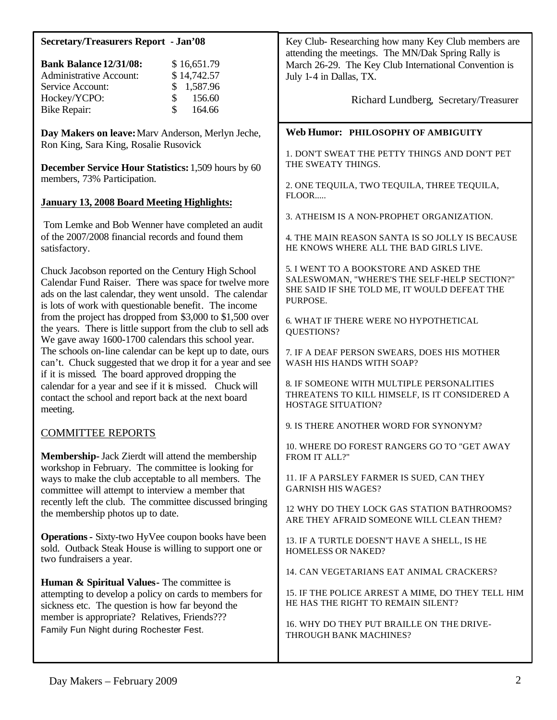| <b>Secretary/Treasurers Report - Jan'08</b>                                                                                                                                                                                      | Key Club-Researching how many Key Club members are                                                                                                 |
|----------------------------------------------------------------------------------------------------------------------------------------------------------------------------------------------------------------------------------|----------------------------------------------------------------------------------------------------------------------------------------------------|
| <b>Bank Balance 12/31/08:</b><br>\$16,651.79<br>\$14,742.57<br><b>Administrative Account:</b><br>Service Account:<br>1,587.96<br>\$                                                                                              | attending the meetings. The MN/Dak Spring Rally is<br>March 26-29. The Key Club International Convention is<br>July 1-4 in Dallas, TX.             |
| \$<br>Hockey/YCPO:<br>156.60<br>\$<br><b>Bike Repair:</b><br>164.66                                                                                                                                                              | Richard Lundberg, Secretary/Treasurer                                                                                                              |
| Day Makers on leave: Marv Anderson, Merlyn Jeche,<br>Ron King, Sara King, Rosalie Rusovick                                                                                                                                       | Web Humor: PHILOSOPHY OF AMBIGUITY                                                                                                                 |
| <b>December Service Hour Statistics: 1,509 hours by 60</b>                                                                                                                                                                       | 1. DON'T SWEAT THE PETTY THINGS AND DON'T PET<br>THE SWEATY THINGS.                                                                                |
| members, 73% Participation.<br><b>January 13, 2008 Board Meeting Highlights:</b>                                                                                                                                                 | 2. ONE TEQUILA, TWO TEQUILA, THREE TEQUILA,<br>FLOOR                                                                                               |
| Tom Lemke and Bob Wenner have completed an audit                                                                                                                                                                                 | 3. ATHEISM IS A NON-PROPHET ORGANIZATION.                                                                                                          |
| of the 2007/2008 financial records and found them<br>satisfactory.                                                                                                                                                               | 4. THE MAIN REASON SANTA IS SO JOLLY IS BECAUSE<br>HE KNOWS WHERE ALL THE BAD GIRLS LIVE.                                                          |
| Chuck Jacobson reported on the Century High School<br>Calendar Fund Raiser. There was space for twelve more<br>ads on the last calendar, they went unsold. The calendar<br>is lots of work with questionable benefit. The income | 5. I WENT TO A BOOKSTORE AND ASKED THE<br>SALESWOMAN, "WHERE'S THE SELF-HELP SECTION?"<br>SHE SAID IF SHE TOLD ME, IT WOULD DEFEAT THE<br>PURPOSE. |
| from the project has dropped from \$3,000 to \$1,500 over<br>the years. There is little support from the club to sell ads<br>We gave away 1600-1700 calendars this school year.                                                  | 6. WHAT IF THERE WERE NO HYPOTHETICAL<br>QUESTIONS?                                                                                                |
| The schools on-line calendar can be kept up to date, ours<br>can't. Chuck suggested that we drop it for a year and see<br>if it is missed. The board approved dropping the                                                       | 7. IF A DEAF PERSON SWEARS, DOES HIS MOTHER<br>WASH HIS HANDS WITH SOAP?                                                                           |
| calendar for a year and see if it is missed. Chuck will<br>contact the school and report back at the next board<br>meeting.                                                                                                      | 8. IF SOMEONE WITH MULTIPLE PERSONALITIES<br>THREATENS TO KILL HIMSELF, IS IT CONSIDERED A<br>HOSTAGE SITUATION?                                   |
| <b>COMMITTEE REPORTS</b>                                                                                                                                                                                                         | 9. IS THERE ANOTHER WORD FOR SYNONYM?                                                                                                              |
| <b>Membership-</b> Jack Zierdt will attend the membership<br>workshop in February. The committee is looking for                                                                                                                  | 10. WHERE DO FOREST RANGERS GO TO "GET AWAY<br>FROM IT ALL?"                                                                                       |
| ways to make the club acceptable to all members. The<br>committee will attempt to interview a member that                                                                                                                        | 11. IF A PARSLEY FARMER IS SUED, CAN THEY<br><b>GARNISH HIS WAGES?</b>                                                                             |
| recently left the club. The committee discussed bringing<br>the membership photos up to date.                                                                                                                                    | 12 WHY DO THEY LOCK GAS STATION BATHROOMS?<br>ARE THEY AFRAID SOMEONE WILL CLEAN THEM?                                                             |
| <b>Operations - Sixty-two HyVee coupon books have been</b><br>sold. Outback Steak House is willing to support one or<br>two fundraisers a year.                                                                                  | 13. IF A TURTLE DOESN'T HAVE A SHELL, IS HE<br>HOMELESS OR NAKED?                                                                                  |
| Human & Spiritual Values- The committee is                                                                                                                                                                                       | 14. CAN VEGETARIANS EAT ANIMAL CRACKERS?                                                                                                           |
| attempting to develop a policy on cards to members for<br>sickness etc. The question is how far beyond the                                                                                                                       | 15. IF THE POLICE ARREST A MIME, DO THEY TELL HIM<br>HE HAS THE RIGHT TO REMAIN SILENT?                                                            |
| member is appropriate? Relatives, Friends???<br>Family Fun Night during Rochester Fest.                                                                                                                                          | 16. WHY DO THEY PUT BRAILLE ON THE DRIVE-<br>THROUGH BANK MACHINES?                                                                                |